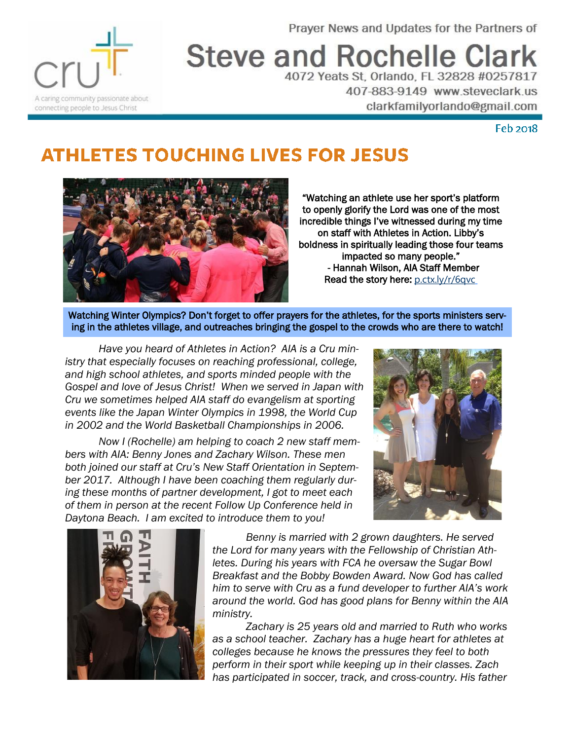Prayer News and Updates for the Partners of



**Steve and Rochelle Clark** 

4072 Yeats St, Orlando, FL 32828 #0257817 407-883-9149 www.steveclark.us clarkfamilyorlando@gmail.com

## **Feb 2018**

## **ATHLETES TOUCHING LIVES FOR JESUS**



"Watching an athlete use her sport's platform to openly glorify the Lord was one of the most incredible things I've witnessed during my time on staff with Athletes in Action. Libby's boldness in spiritually leading those four teams impacted so many people." - Hannah Wilson, AIA Staff Member Read the story here: [p.ctx.ly/r/6qvc](https://t.co/UvJCfd16tp)

Watching Winter Olympics? Don't forget to offer prayers for the athletes, for the sports ministers serving in the athletes village, and outreaches bringing the gospel to the crowds who are there to watch!

*Have you heard of Athletes in Action? AIA is a Cru ministry that especially focuses on reaching professional, college, and high school athletes, and sports minded people with the Gospel and love of Jesus Christ! When we served in Japan with Cru we sometimes helped AIA staff do evangelism at sporting events like the Japan Winter Olympics in 1998, the World Cup in 2002 and the World Basketball Championships in 2006.*

*Now I (Rochelle) am helping to coach 2 new staff members with AIA: Benny Jones and Zachary Wilson. These men both joined our staff at Cru's New Staff Orientation in September 2017. Although I have been coaching them regularly during these months of partner development, I got to meet each of them in person at the recent Follow Up Conference held in Daytona Beach. I am excited to introduce them to you!*





*Benny is married with 2 grown daughters. He served the Lord for many years with the Fellowship of Christian Athletes. During his years with FCA he oversaw the Sugar Bowl Breakfast and the Bobby Bowden Award. Now God has called him to serve with Cru as a fund developer to further AIA's work around the world. God has good plans for Benny within the AIA ministry.*

*Zachary is 25 years old and married to Ruth who works as a school teacher. Zachary has a huge heart for athletes at colleges because he knows the pressures they feel to both perform in their sport while keeping up in their classes. Zach has participated in soccer, track, and cross-country. His father*